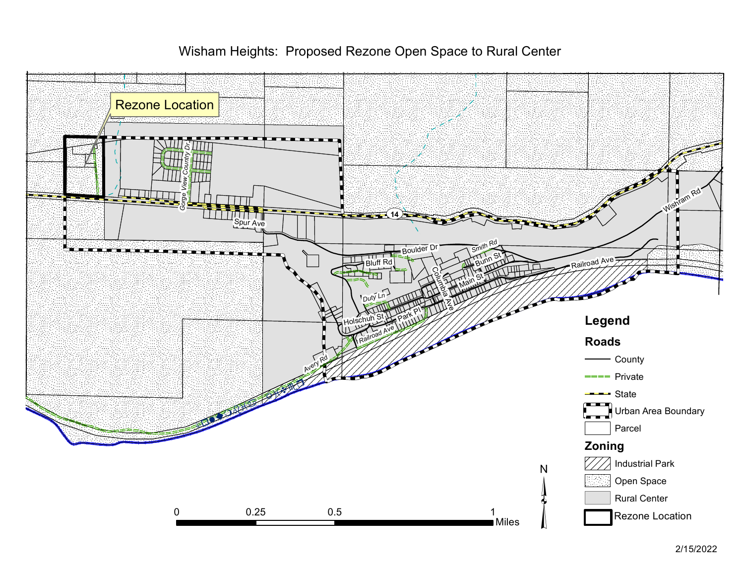

## Wisham Heights: Proposed Rezone Open Space to Rural Center